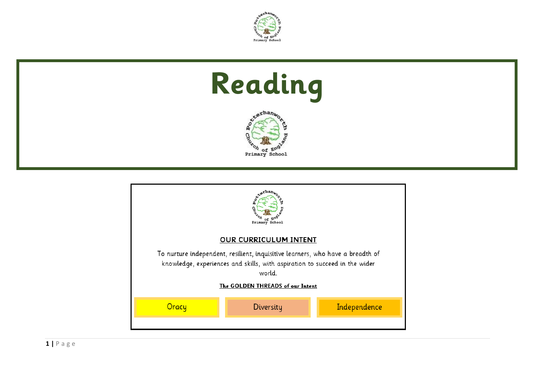

# **Reading**



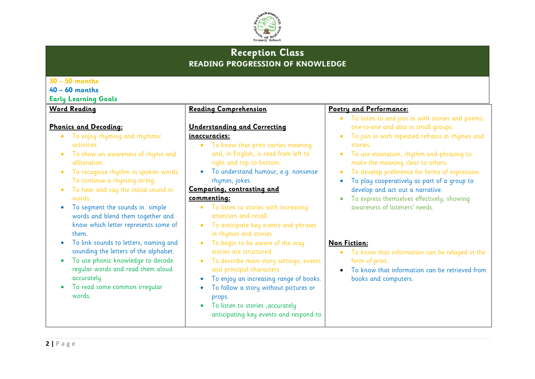

# **Reception Class READING PROGRESSION OF KNOWLEDGE**

| $30 - 50$ months                                                                                                                                                                                                                                                                                                                                                                                                                                                                                           |                                                                                                                                                                                                                                                                                                                                                                                                                                                                                   |                                                                                                                                                                                                                                                                                                                                                                                                                                                                                                                  |
|------------------------------------------------------------------------------------------------------------------------------------------------------------------------------------------------------------------------------------------------------------------------------------------------------------------------------------------------------------------------------------------------------------------------------------------------------------------------------------------------------------|-----------------------------------------------------------------------------------------------------------------------------------------------------------------------------------------------------------------------------------------------------------------------------------------------------------------------------------------------------------------------------------------------------------------------------------------------------------------------------------|------------------------------------------------------------------------------------------------------------------------------------------------------------------------------------------------------------------------------------------------------------------------------------------------------------------------------------------------------------------------------------------------------------------------------------------------------------------------------------------------------------------|
| $40 - 60$ months                                                                                                                                                                                                                                                                                                                                                                                                                                                                                           |                                                                                                                                                                                                                                                                                                                                                                                                                                                                                   |                                                                                                                                                                                                                                                                                                                                                                                                                                                                                                                  |
| <b>Early Learning Goals</b>                                                                                                                                                                                                                                                                                                                                                                                                                                                                                |                                                                                                                                                                                                                                                                                                                                                                                                                                                                                   |                                                                                                                                                                                                                                                                                                                                                                                                                                                                                                                  |
| <b>Word Reading</b><br><b>Phonics and Decoding:</b><br>To enjoy rhyming and rhythmic<br>activities.<br>To show an awareness of rhyme and<br>$\bullet$<br>alliteration.<br>To recognise rhythm in spoken words.<br>To continue a rhyming string.<br>To hear and say the initial sound in<br>$\bullet$<br>words.<br>To segment the sounds in simple<br>$\bullet$<br>words and blend them together and<br>know which letter represents some of<br>them.<br>To link sounds to letters, naming and<br>$\bullet$ | Reading Comprehension<br><b>Understanding and Correcting</b><br>inaccuracies:<br>To know that print carries meaning<br>$\bullet$<br>and, in English, is read from left to<br>right and top to bottom.<br>To understand humour, e.g. nonsense<br>rhymes, jokes.<br>Comparing, contrasting and<br>commenting:<br>To listen to stories with increasing<br>attention and recall.<br>To anticipate key events and phrases<br>in rhymes and stories.<br>To begin to be aware of the way | Poetry and Performance:<br>To listen to and join in with stories and poems,<br>one-to-one and also in small groups.<br>To join in with repeated refrains in rhymes and<br>stories.<br>To use intonation, rhythm and phrasing to<br>make the meaning clear to others.<br>To develop preference for forms of expression.<br>To play cooperatively as part of a group to<br>develop and act out a narrative.<br>To express themselves effectively, showing<br>awareness of listeners' needs.<br><b>Non Fiction:</b> |
| sounding the letters of the alphabet.<br>To use phonic knowledge to decode<br>$\bullet$<br>regular words and read them aloud<br>accurately.<br>To read some common irregular<br>$\bullet$<br>words.                                                                                                                                                                                                                                                                                                        | stories are structured.<br>To describe main story settings, events<br>and principal characters.<br>To enjoy an increasing range of books.<br>To follow a story without pictures or<br>props.<br>To listen to stories , accurately<br>anticipating key events and respond to                                                                                                                                                                                                       | To know that information can be relayed in the<br>$\bullet$<br>form of print.<br>To know that information can be retrieved from<br>$\bullet$<br>books and computers.                                                                                                                                                                                                                                                                                                                                             |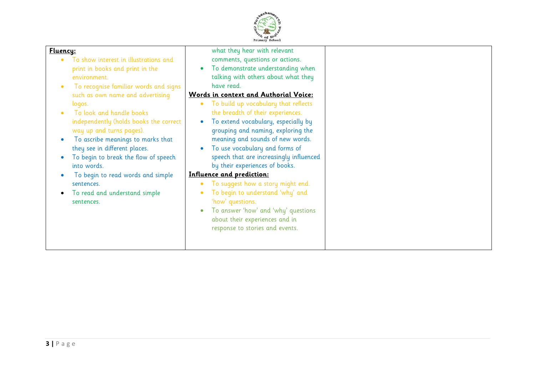

| meaning and sounds of new words.<br>To ascribe meanings to marks that<br>they see in different places.<br>To use vocabulary and forms of<br>speech that are increasingly influenced<br>To begin to break the flow of speech<br>by their experiences of books.<br>into words.<br>Influence and prediction:<br>To begin to read words and simple<br>To suggest how a story might end.<br>sentences.<br>To begin to understand 'why' and<br>To read and understand simple<br>'how' questions.<br>sentences. | To extend vocabulary, especially by<br>independently (holds books the correct<br>grouping and naming, exploring the<br>way up and turns pages). |
|----------------------------------------------------------------------------------------------------------------------------------------------------------------------------------------------------------------------------------------------------------------------------------------------------------------------------------------------------------------------------------------------------------------------------------------------------------------------------------------------------------|-------------------------------------------------------------------------------------------------------------------------------------------------|
|----------------------------------------------------------------------------------------------------------------------------------------------------------------------------------------------------------------------------------------------------------------------------------------------------------------------------------------------------------------------------------------------------------------------------------------------------------------------------------------------------------|-------------------------------------------------------------------------------------------------------------------------------------------------|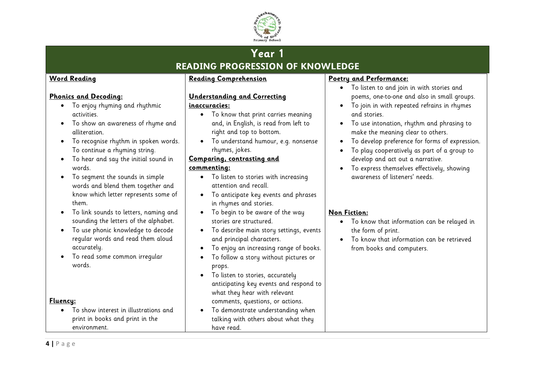

# **Year 1 READING PROGRESSION OF KNOWLEDGE**

#### **Word Reading**

#### **Phonics and Decoding:**

- To enjoy rhyming and rhythmic activities.
- To show an awareness of rhyme and alliteration.
- To recognise rhythm in spoken words. To continue a rhyming string.
- To hear and say the initial sound in words.
- To segment the sounds in simple words and blend them together and know which letter represents some of them.
- To link sounds to letters, naming and sounding the letters of the alphabet.
- To use phonic knowledge to decode regular words and read them aloud accurately.
- To read some common irregular words.

**Fluency:**

• To show interest in illustrations and print in books and print in the environment.

#### **Reading Comprehension**

#### **Understanding and Correcting**

#### **inaccuracies:**

- To know that print carries meaning and, in English, is read from left to right and top to bottom.
- To understand humour, e.g. nonsense rhymes, jokes.

#### **Comparing, contrasting and**

#### **commenting:**

- To listen to stories with increasing attention and recall.
- To anticipate key events and phrases in rhymes and stories.
- To begin to be aware of the way stories are structured.
- To describe main story settings, events and principal characters.
- To enjoy an increasing range of books.
- To follow a story without pictures or props.
- To listen to stories, accurately anticipating key events and respond to what they hear with relevant comments, questions, or actions.
- To demonstrate understanding when talking with others about what they have read.

#### **Poetry and Performance:**

- To listen to and join in with stories and poems, one-to-one and also in small groups.
- To join in with repeated refrains in rhymes and stories.
- To use intonation, rhythm and phrasing to make the meaning clear to others.
- To develop preference for forms of expression.
- To play cooperatively as part of a group to develop and act out a narrative.
- To express themselves effectively, showing awareness of listeners' needs.

- To know that information can be relayed in the form of print.
- To know that information can be retrieved from books and computers.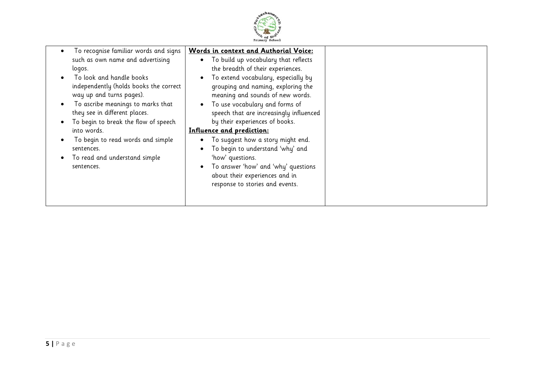

|--|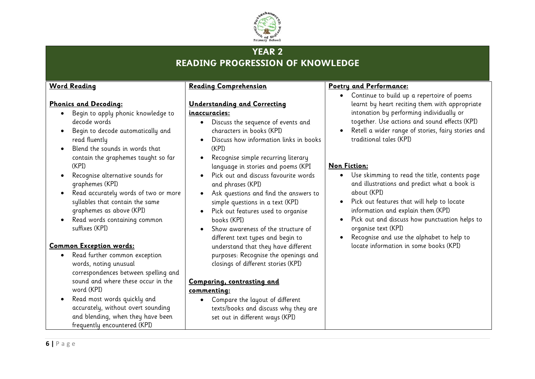

# **YEAR 2 READING PROGRESSION OF KNOWLEDGE**

#### **Word Reading**

**Phonics and Decoding:**

decode words

read fluently

graphemes (KPI)

suffixes (KPI)

**Common Exception words:**

word (KPI)

(KPI)

• Begin to apply phonic knowledge to

• Begin to decode automatically and

contain the graphemes taught so far

• Read accurately words of two or more syllables that contain the same graphemes as above (KPI) • Read words containing common

• Blend the sounds in words that

• Recognise alternative sounds for

• Read further common exception words, noting unusual

• Read most words quickly and

frequently encountered (KPI)

correspondences between spelling and sound and where these occur in the

accurately, without overt sounding and blending, when they have been

#### **Reading Comprehension**

#### **Understanding and Correcting**

#### **inaccuracies:**

- Discuss the sequence of events and characters in books (KPI)
- Discuss how information links in books (KPI)
- Recognise simple recurring literary language in stories and poems (KPI
- Pick out and discuss favourite words and phrases (KPI)
- Ask questions and find the answers to simple questions in a text (KPI)
- Pick out features used to organise books (KPI)
- Show awareness of the structure of different text types and begin to understand that they have different purposes: Recognise the openings and closings of different stories (KPI)

# **Comparing, contrasting and**

#### **commenting:**

• Compare the layout of different texts/books and discuss why they are set out in different ways (KPI)

#### **Poetry and Performance:**

- Continue to build up a repertoire of poems learnt by heart reciting them with appropriate intonation by performing individually or together. Use actions and sound effects (KPI)
- Retell a wider range of stories, fairy stories and traditional tales (KPI)

- Use skimming to read the title, contents page and illustrations and predict what a book is about (KPI)
- Pick out features that will help to locate information and explain them (KPI)
- Pick out and discuss how punctuation helps to organise text (KPI)
- Recognise and use the alphabet to help to locate information in some books (KPI)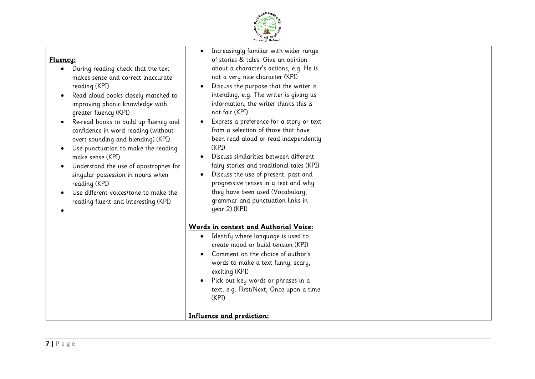

| <u> Fluency:</u><br>During reading check that the text<br>makes sense and correct inaccurate<br>reading (KPI)<br>Read aloud books closely matched to<br>improving phonic knowledge with<br>greater fluency (KPI)<br>Re-read books to build up fluency and<br>confidence in word reading (without<br>overt sounding and blending) (KPI)<br>Use punctuation to make the reading<br>make sense (KPI)<br>Understand the use of apostrophes for<br>singular possession in nouns when<br>reading (KPI)<br>Use different voices/tone to make the<br>reading fluent and interesting (KPI) | Increasingly familiar with wider range<br>of stories & tales: Give an opinion<br>about a character's actions, e.g. He is<br>not a very nice character (KPI)<br>Discuss the purpose that the writer is<br>intending, e.g. The writer is giving us<br>information, the writer thinks this is<br>not fair (KPI)<br>Express a preference for a story or text<br>from a selection of those that have<br>been read aloud or read independently<br>(KPI)<br>Discuss similarities between different<br>fairy stories and traditional tales (KPI)<br>Discuss the use of present, past and<br>progressive tenses in a text and why<br>they have been used (Vocabulary,<br>grammar and punctuation links in<br>year 2) (KPI) |  |
|-----------------------------------------------------------------------------------------------------------------------------------------------------------------------------------------------------------------------------------------------------------------------------------------------------------------------------------------------------------------------------------------------------------------------------------------------------------------------------------------------------------------------------------------------------------------------------------|-------------------------------------------------------------------------------------------------------------------------------------------------------------------------------------------------------------------------------------------------------------------------------------------------------------------------------------------------------------------------------------------------------------------------------------------------------------------------------------------------------------------------------------------------------------------------------------------------------------------------------------------------------------------------------------------------------------------|--|
|                                                                                                                                                                                                                                                                                                                                                                                                                                                                                                                                                                                   | Words in context and Authorial Voice:<br>Identify where language is used to<br>٠<br>create mood or build tension (KPI)<br>Comment on the choice of author's<br>words to make a text funny, scary,<br>exciting (KPI)<br>Pick out key words or phrases in a<br>text, e.g. First/Next, Once upon a time<br>(KPI)<br>Influence and prediction:                                                                                                                                                                                                                                                                                                                                                                        |  |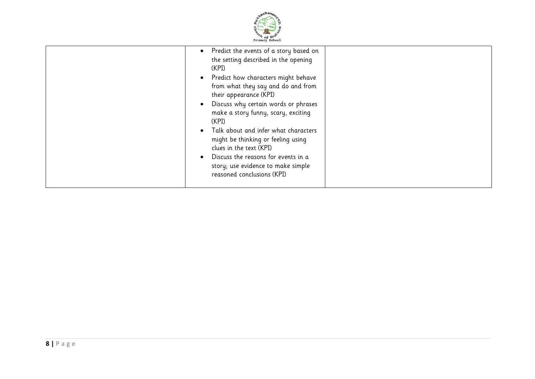

| (KPI)<br>(KPI) | Predict the events of a story based on<br>the setting described in the opening<br>Predict how characters might behave<br>from what they say and do and from<br>their appearance (KPI)<br>Discuss why certain words or phrases<br>make a story funny, scary, exciting<br>Talk about and infer what characters<br>might be thinking or feeling using<br>clues in the text (KPI)<br>Discuss the reasons for events in a<br>story; use evidence to make simple<br>reasoned conclusions (KPI) |
|----------------|------------------------------------------------------------------------------------------------------------------------------------------------------------------------------------------------------------------------------------------------------------------------------------------------------------------------------------------------------------------------------------------------------------------------------------------------------------------------------------------|
|----------------|------------------------------------------------------------------------------------------------------------------------------------------------------------------------------------------------------------------------------------------------------------------------------------------------------------------------------------------------------------------------------------------------------------------------------------------------------------------------------------------|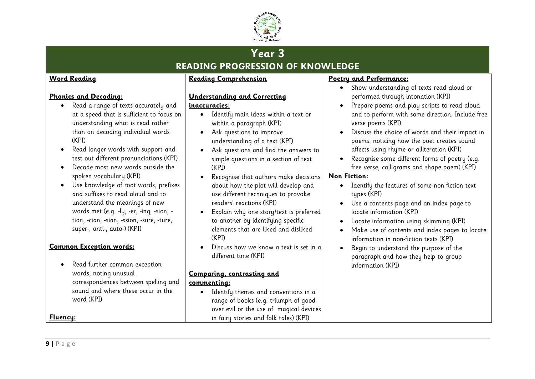

# **Year 3 READING PROGRESSION OF KNOWLEDGE**

#### **Word Reading**

#### **Phonics and Decoding:**

- Read a range of texts accurately and at a speed that is sufficient to focus on understanding what is read rather than on decoding individual words (KPI)
- Read longer words with support and test out different pronunciations (KPI)
- Decode most new words outside the spoken vocabulary (KPI)
- Use knowledge of root words, prefixes and suffixes to read aloud and to understand the meanings of new words met (e.g. -ly, -er, -ing, -sion, tion, -cian, -sian, -ssion, -sure, -ture, super-, anti-, auto-) (KPI)

#### **Common Exception words:**

• Read further common exception words, noting unusual correspondences between spelling and sound and where these occur in the word (KPI)

### **Reading Comprehension**

#### **Understanding and Correcting**

#### **inaccuracies:**

- Identify main ideas within a text or within a paragraph (KPI)
- Ask questions to improve understanding of a text (KPI)
- Ask questions and find the answers to simple questions in a section of text (KPI)
- Recognise that authors make decisions about how the plot will develop and use different techniques to provoke readers' reactions (KPI)
- Explain why one story/text is preferred to another by identifying specific elements that are liked and disliked (KPI)
- Discuss how we know a text is set in a different time (KPI)

## **Comparing, contrasting and**

#### **commenting:**

• Identify themes and conventions in a range of books (e.g. triumph of good over evil or the use of magical devices in fairy stories and folk tales) (KPI)

#### **Poetry and Performance:**

- Show understanding of texts read aloud or performed through intonation (KPI)
- Prepare poems and play scripts to read aloud and to perform with some direction. Include free verse poems (KPI)
- Discuss the choice of words and their impact in poems, noticing how the poet creates sound affects using rhyme or alliteration (KPI)
- Recognise some different forms of poetry (e.g. free verse, calligrams and shape poem) (KPI)

#### **Non Fiction:**

- Identify the features of some non-fiction text tupes (KPI)
- Use a contents page and an index page to locate information (KPI)
- Locate information using skimming (KPI)
- Make use of contents and index pages to locate information in non-fiction texts (KPI)
- Begin to understand the purpose of the paragraph and how they help to group information (KPI)

**Fluency:**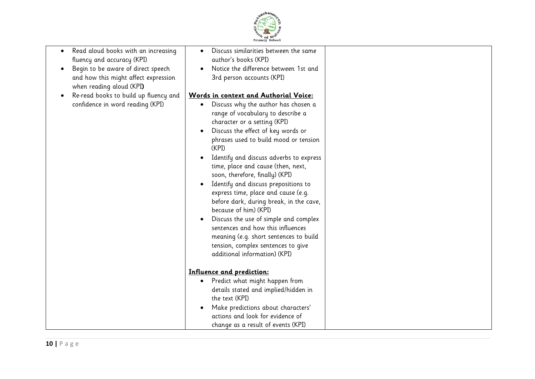

| Read aloud books with an increasing<br>fluency and accuracy (KPI)<br>Begin to be aware of direct speech<br>and how this might affect expression<br>when reading aloud (KPI)<br>Re-read books to build up fluency and<br>confidence in word reading (KPI) | Discuss similarities between the same<br>$\bullet$<br>author's books (KPI)<br>Notice the difference between 1st and<br>3rd person accounts (KPI)<br>Words in context and Authorial Voice:<br>Discuss why the author has chosen a<br>$\bullet$<br>range of vocabulary to describe a<br>character or a setting (KPI)<br>Discuss the effect of key words or<br>$\bullet$<br>phrases used to build mood or tension<br>(KPI)<br>Identify and discuss adverbs to express<br>time, place and cause (then, next,<br>soon, therefore, finally) (KPI)<br>Identify and discuss prepositions to<br>$\bullet$<br>express time, place and cause (e.g.<br>before dark, during break, in the cave,<br>because of him) (KPI)<br>Discuss the use of simple and complex<br>$\bullet$<br>sentences and how this influences<br>meaning (e.g. short sentences to build<br>tension, complex sentences to give<br>additional information) (KPI) |  |
|----------------------------------------------------------------------------------------------------------------------------------------------------------------------------------------------------------------------------------------------------------|-------------------------------------------------------------------------------------------------------------------------------------------------------------------------------------------------------------------------------------------------------------------------------------------------------------------------------------------------------------------------------------------------------------------------------------------------------------------------------------------------------------------------------------------------------------------------------------------------------------------------------------------------------------------------------------------------------------------------------------------------------------------------------------------------------------------------------------------------------------------------------------------------------------------------|--|
|                                                                                                                                                                                                                                                          | <u><b>Influence and prediction:</b></u><br>Predict what might happen from<br>$\bullet$                                                                                                                                                                                                                                                                                                                                                                                                                                                                                                                                                                                                                                                                                                                                                                                                                                  |  |
|                                                                                                                                                                                                                                                          | details stated and implied/hidden in<br>the text (KPI)<br>Make predictions about characters'<br>$\bullet$<br>actions and look for evidence of<br>change as a result of events (KPI)                                                                                                                                                                                                                                                                                                                                                                                                                                                                                                                                                                                                                                                                                                                                     |  |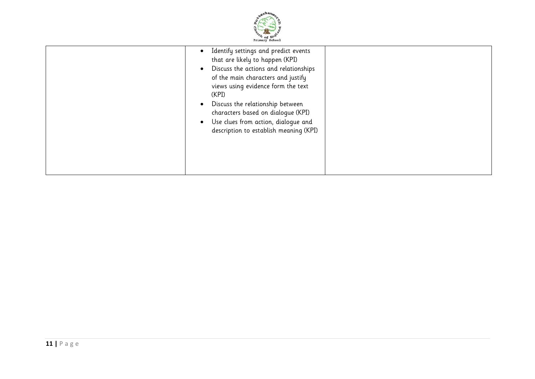

|  | Identify settings and predict events<br>that are likely to happen (KPI)<br>Discuss the actions and relationships<br>of the main characters and justify<br>views using evidence form the text<br>(KPI)<br>Discuss the relationship between<br>characters based on dialogue (KPI)<br>Use clues from action, dialogue and<br>description to establish meaning (KPI) |  |
|--|------------------------------------------------------------------------------------------------------------------------------------------------------------------------------------------------------------------------------------------------------------------------------------------------------------------------------------------------------------------|--|
|--|------------------------------------------------------------------------------------------------------------------------------------------------------------------------------------------------------------------------------------------------------------------------------------------------------------------------------------------------------------------|--|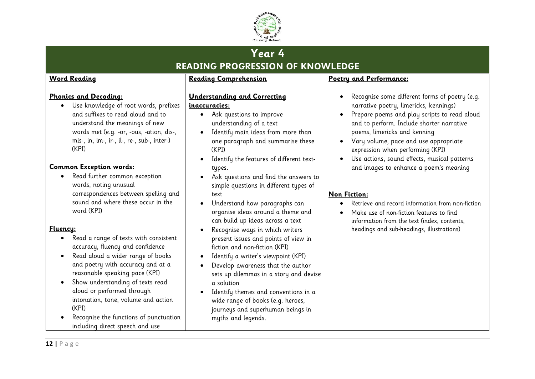

# **Year 4 READING PROGRESSION OF KNOWLEDGE**

#### **Word Reading**

**Phonics and Decoding:**

(KPI)

**Common Exception words:**

word (KPI)

• Read further common exception words, noting unusual

> correspondences between spelling and sound and where these occur in the

• Read a range of texts with consistent accuracy, fluency and confidence • Read aloud a wider range of books and poetry with accuracy and at a reasonable speaking pace (KPI) • Show understanding of texts read aloud or performed through

intonation, tone, volume and action

• Recognise the functions of punctuation including direct speech and use

• Use knowledge of root words, prefixes and suffixes to read aloud and to understand the meanings of new words met (e.g. -or, -ous, -ation, dis-, mis-, in, im-, ir-, il-, re-, sub-, inter-)

#### **Reading Comprehension**

#### **Understanding and Correcting**

#### **inaccuracies:**

- Ask questions to improve understanding of a text
- Identify main ideas from more than one paragraph and summarise these (KPI)
- Identify the features of different texttypes.
- Ask questions and find the answers to simple questions in different types of text
- Understand how paragraphs can organise ideas around a theme and can build up ideas across a text
- Recognise ways in which writers present issues and points of view in fiction and non-fiction (KPI)
- Identify a writer's viewpoint (KPI)
- Develop awareness that the author sets up dilemmas in a story and devise a solution
- Identify themes and conventions in a wide range of books (e.g. heroes, journeys and superhuman beings in myths and legends.

## **Poetry and Performance:**

- Recognise some different forms of poetry (e.g. narrative poetry, limericks, kennings)
- Prepare poems and play scripts to read aloud and to perform. Include shorter narrative poems, limericks and kenning
- Vary volume, pace and use appropriate expression when performing (KPI)
- Use actions, sound effects, musical patterns and images to enhance a poem's meaning

#### **Non Fiction:**

- Retrieve and record information from non-fiction
- Make use of non-fiction features to find information from the text (index, contents, headings and sub-headings, illustrations)

# **12 |** P a g e

(KPI)

**Fluency:**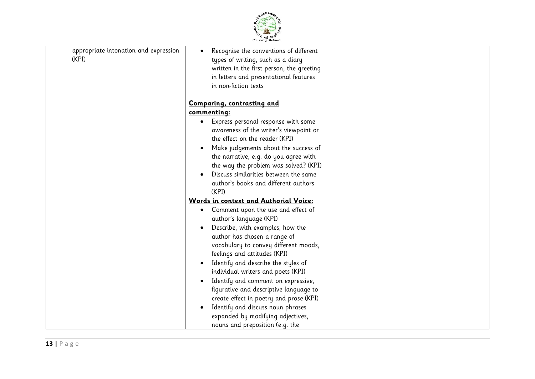

| appropriate intonation and expression<br>(KPI) | Recognise the conventions of different<br>types of writing, such as a diary<br>written in the first person, the greeting<br>in letters and presentational features<br>in non-fiction texts                                                                                                                                                                                                                                                                                                                                                                                |  |
|------------------------------------------------|---------------------------------------------------------------------------------------------------------------------------------------------------------------------------------------------------------------------------------------------------------------------------------------------------------------------------------------------------------------------------------------------------------------------------------------------------------------------------------------------------------------------------------------------------------------------------|--|
|                                                | <b>Comparing, contrasting and</b>                                                                                                                                                                                                                                                                                                                                                                                                                                                                                                                                         |  |
|                                                | commenting:                                                                                                                                                                                                                                                                                                                                                                                                                                                                                                                                                               |  |
|                                                | Express personal response with some<br>awareness of the writer's viewpoint or<br>the effect on the reader (KPI)<br>Make judgements about the success of<br>the narrative, e.g. do you agree with<br>the way the problem was solved? (KPI)<br>Discuss similarities between the same<br>author's books and different authors                                                                                                                                                                                                                                                |  |
|                                                | (KPI)                                                                                                                                                                                                                                                                                                                                                                                                                                                                                                                                                                     |  |
|                                                | Words in context and Authorial Voice:<br>Comment upon the use and effect of<br>author's language (KPI)<br>Describe, with examples, how the<br>author has chosen a range of<br>vocabulary to convey different moods,<br>feelings and attitudes (KPI)<br>Identify and describe the styles of<br>individual writers and poets (KPI)<br>Identify and comment on expressive,<br>figurative and descriptive language to<br>create effect in poetry and prose (KPI)<br>Identify and discuss noun phrases<br>expanded by modifying adjectives,<br>nouns and preposition (e.g. the |  |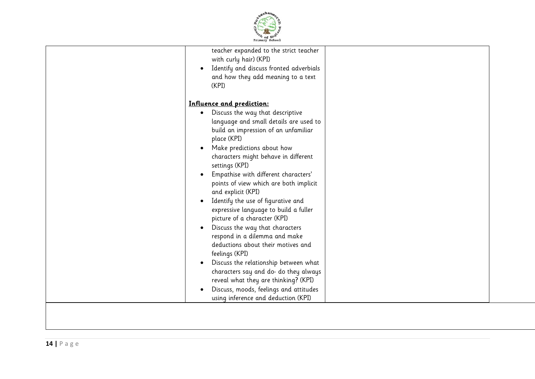

| teacher expanded to the strict teacher        |  |
|-----------------------------------------------|--|
| with curly hair) (KPI)                        |  |
| Identify and discuss fronted adverbials       |  |
| and how they add meaning to a text            |  |
| (KPI)                                         |  |
| Influence and prediction:                     |  |
| Discuss the way that descriptive<br>$\bullet$ |  |
| language and small details are used to        |  |
| build an impression of an unfamiliar          |  |
| place (KPI)                                   |  |
| Make predictions about how<br>$\bullet$       |  |
| characters might behave in different          |  |
| settings (KPI)                                |  |
| Empathise with different characters'          |  |
| points of view which are both implicit        |  |
| and explicit (KPI)                            |  |
| Identify the use of figurative and            |  |
| expressive language to build a fuller         |  |
| picture of a character (KPI)                  |  |
| Discuss the way that characters<br>$\bullet$  |  |
| respond in a dilemma and make                 |  |
| deductions about their motives and            |  |
| feelings (KPI)                                |  |
| Discuss the relationship between what         |  |
| characters say and do- do they always         |  |
| reveal what they are thinking? (KPI)          |  |
| Discuss, moods, feelings and attitudes        |  |
| using inference and deduction (KPI)           |  |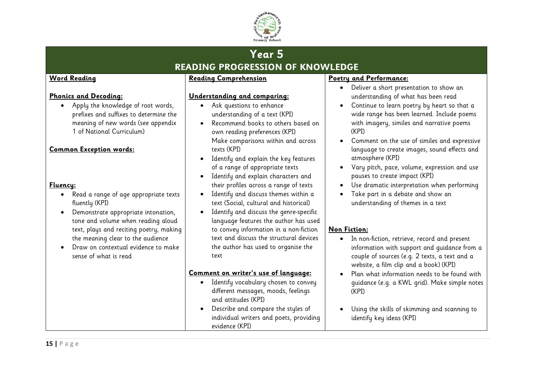

# **Year 5 READING PROGRESSION OF KNOWLEDGE**

#### **Word Reading**

#### **Phonics and Decoding:**

• Apply the knowledge of root words, prefixes and suffixes to determine the meaning of new words (see appendix 1 of National Curriculum)

#### **Common Exception words:**

#### **Fluency:**

- Read a range of age appropriate texts fluently (KPI)
- Demonstrate appropriate intonation, tone and volume when reading aloud text, plays and reciting poetry, making the meaning clear to the audience
- Draw on contextual evidence to make sense of what is read

#### **Reading Comprehension**

#### **Understanding and comparing:**

- Ask questions to enhance understanding of a text (KPI)
- Recommend books to others based on own reading preferences (KPI) Make comparisons within and across texts (KPI)
- Identify and explain the key features of a range of appropriate texts
- Identify and explain characters and their profiles across a range of texts
- Identify and discuss themes within a text (Social, cultural and historical)
- Identify and discuss the genre-specific language features the author has used to convey information in a non-fiction text and discuss the structural devices the author has used to organise the text

#### **Comment on writer's use of language:**

- Identify vocabulary chosen to convey different messages, moods, feelings and attitudes (KPI)
- Describe and compare the styles of individual writers and poets, providing evidence (KPI)

#### **Poetry and Performance:**

- Deliver a short presentation to show an understanding of what has been read
- Continue to learn poetry by heart so that a wide range has been learned. Include poems with imagery, similes and narrative poems (KPI)
- Comment on the use of similes and expressive language to create images, sound effects and atmosphere (KPI)
- Vary pitch, pace, volume, expression and use pauses to create impact (KPI)
- Use dramatic interpretation when performing
- Take part in a debate and show an understanding of themes in a text

- In non-fiction, retrieve, record and present information with support and guidance from a couple of sources (e.g. 2 texts, a text and a website, a film clip and a book) (KPI)
- Plan what information needs to be found with guidance (e.g. a KWL grid). Make simple notes (KPI)
- Using the skills of skimming and scanning to identify key ideas (KPI)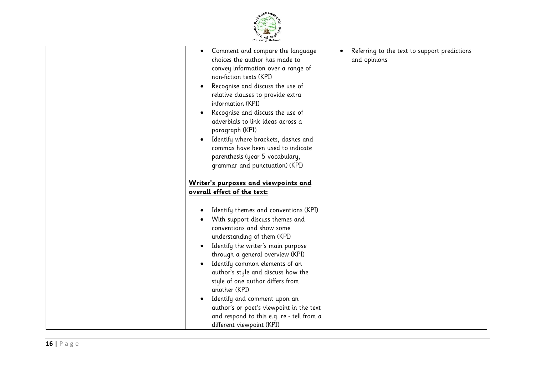

| Comment and compare the language<br>٠<br>choices the author has made to<br>convey information over a range of<br>non-fiction texts (KPI)<br>Recognise and discuss the use of<br>relative clauses to provide extra<br>information (KPI)<br>Recognise and discuss the use of<br>adverbials to link ideas across a<br>paragraph (KPI)<br>Identify where brackets, dashes and<br>commas have been used to indicate<br>parenthesis (year 5 vocabulary,<br>grammar and punctuation) (KPI)                    | Referring to the text to support predictions<br>and opinions |
|--------------------------------------------------------------------------------------------------------------------------------------------------------------------------------------------------------------------------------------------------------------------------------------------------------------------------------------------------------------------------------------------------------------------------------------------------------------------------------------------------------|--------------------------------------------------------------|
| Writer's purposes and viewpoints and                                                                                                                                                                                                                                                                                                                                                                                                                                                                   |                                                              |
| overall effect of the text:                                                                                                                                                                                                                                                                                                                                                                                                                                                                            |                                                              |
| Identify themes and conventions (KPI)<br>With support discuss themes and<br>conventions and show some<br>understanding of them (KPI)<br>Identify the writer's main purpose<br>٠<br>through a general overview (KPI)<br>Identify common elements of an<br>author's style and discuss how the<br>style of one author differs from<br>another (KPI)<br>Identify and comment upon an<br>author's or poet's viewpoint in the text<br>and respond to this e.g. re - tell from a<br>different viewpoint (KPI) |                                                              |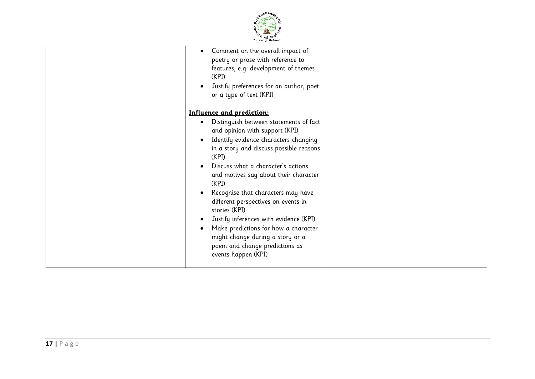

| Comment on the overall impact of<br>$\bullet$<br>poetry or prose with reference to<br>features, e.g. development of themes<br>(KPI)<br>Justify preferences for an author, poet<br>or a type of text (KPI)                                                                                                                                                                                                                                                                                                                                                                                 |  |
|-------------------------------------------------------------------------------------------------------------------------------------------------------------------------------------------------------------------------------------------------------------------------------------------------------------------------------------------------------------------------------------------------------------------------------------------------------------------------------------------------------------------------------------------------------------------------------------------|--|
| Influence and prediction:<br>Distinguish between statements of fact<br>٠<br>and opinion with support (KPI)<br>Identify evidence characters changing<br>$\bullet$<br>in a story and discuss possible reasons<br>(KPI)<br>Discuss what a character's actions<br>and motives say about their character<br>(KPI)<br>Recognise that characters may have<br>different perspectives on events in<br>stories (KPI)<br>Justify inferences with evidence (KPI)<br>Make predictions for how a character<br>might change during a story or a<br>poem and change predictions as<br>events happen (KPI) |  |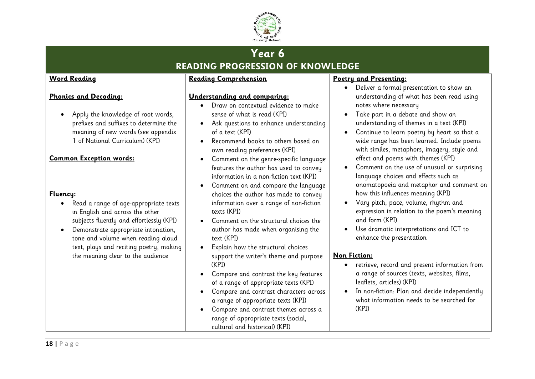

# **Year 6 READING PROGRESSION OF KNOWLEDGE**

#### **Word Reading**

### **Phonics and Decoding:**

• Apply the knowledge of root words, prefixes and suffixes to determine the meaning of new words (see appendix 1 of National Curriculum) (KPI)

#### **Common Exception words:**

#### **Fluency:**

- Read a range of age-appropriate texts in English and across the other subjects fluently and effortlessly (KPI)
- Demonstrate appropriate intonation, tone and volume when reading aloud text, plays and reciting poetry, making the meaning clear to the audience

#### **Reading Comprehension**

#### **Understanding and comparing:**

- Draw on contextual evidence to make sense of what is read (KPI)
- Ask questions to enhance understanding of a text (KPI)
- Recommend books to others based on own reading preferences (KPI)
- Comment on the genre-specific language features the author has used to convey information in a non-fiction text (KPI)
- Comment on and compare the language choices the author has made to convey information over a range of non-fiction texts (KPI)
- Comment on the structural choices the author has made when organising the text (KPI)
- Explain how the structural choices support the writer's theme and purpose (KPI)
- Compare and contrast the key features of a range of appropriate texts (KPI)
- Compare and contrast characters across a range of appropriate texts (KPI)
- Compare and contrast themes across a range of appropriate texts (social, cultural and historical) (KPI)

#### **Poetry and Presenting:**

- Deliver a formal presentation to show an understanding of what has been read using notes where necessary
- Take part in a debate and show an understanding of themes in a text (KPI)
- Continue to learn poetry by heart so that a wide range has been learned. Include poems with similes, metaphors, imagery, style and effect and poems with themes (KPI)
- Comment on the use of unusual or surprising language choices and effects such as onomatopoeia and metaphor and comment on how this influences meaning (KPI)
- Vary pitch, pace, volume, rhythm and expression in relation to the poem's meaning and form (KPI)
- Use dramatic interpretations and ICT to enhance the presentation

- retrieve, record and present information from a range of sources (texts, websites, films, leaflets, articles) (KPI)
- In non-fiction: Plan and decide independently what information needs to be searched for (KPI)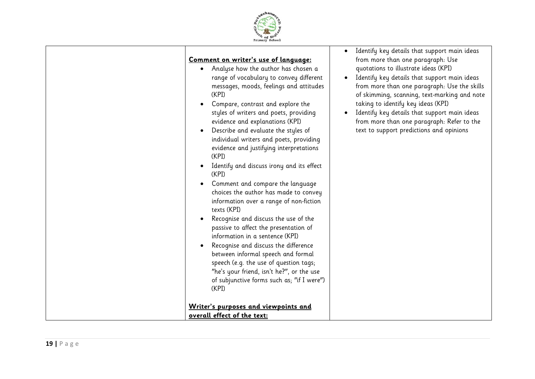

| Comment on writer's use of language:<br>Analyse how the author has chosen a<br>$\bullet$<br>range of vocabulary to convey different<br>messages, moods, feelings and attitudes<br>(KPI)<br>Compare, contrast and explore the<br>styles of writers and poets, providing<br>evidence and explanations (KPI)<br>Describe and evaluate the styles of<br>individual writers and poets, providing<br>evidence and justifying interpretations<br>(KPI)<br>Identify and discuss irony and its effect<br>(KPI)<br>Comment and compare the language<br>choices the author has made to convey<br>information over a range of non-fiction<br>texts (KPI)<br>Recognise and discuss the use of the<br>passive to affect the presentation of<br>information in a sentence (KPI)<br>Recognise and discuss the difference<br>between informal speech and formal<br>speech (e.g. the use of question tags;<br>"he's your friend, isn't he?", or the use<br>of subjunctive forms such as; "if I were")<br>(KPI)<br>Writer's purposes and viewpoints and | Identify key details that support main ideas<br>from more than one paragraph: Use<br>quotations to illustrate ideas (KPI)<br>Identify key details that support main ideas<br>$\bullet$<br>from more than one paragraph: Use the skills<br>of skimming, scanning, text-marking and note<br>taking to identify key ideas (KPI)<br>Identify key details that support main ideas<br>from more than one paragraph: Refer to the<br>text to support predictions and opinions |
|--------------------------------------------------------------------------------------------------------------------------------------------------------------------------------------------------------------------------------------------------------------------------------------------------------------------------------------------------------------------------------------------------------------------------------------------------------------------------------------------------------------------------------------------------------------------------------------------------------------------------------------------------------------------------------------------------------------------------------------------------------------------------------------------------------------------------------------------------------------------------------------------------------------------------------------------------------------------------------------------------------------------------------------|------------------------------------------------------------------------------------------------------------------------------------------------------------------------------------------------------------------------------------------------------------------------------------------------------------------------------------------------------------------------------------------------------------------------------------------------------------------------|
| overall effect of the text:                                                                                                                                                                                                                                                                                                                                                                                                                                                                                                                                                                                                                                                                                                                                                                                                                                                                                                                                                                                                          |                                                                                                                                                                                                                                                                                                                                                                                                                                                                        |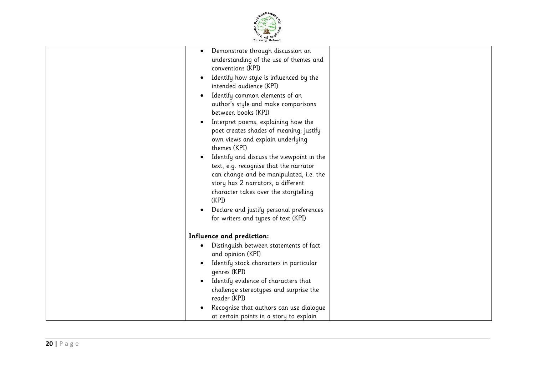

| Demonstrate through discussion an<br>$\bullet$<br>understanding of the use of themes and<br>conventions (KPI)<br>Identify how style is influenced by the<br>intended audience (KPI)<br>Identify common elements of an<br>author's style and make comparisons<br>between books (KPI)<br>Interpret poems, explaining how the<br>poet creates shades of meaning; justify<br>own views and explain underlying<br>themes (KPI)<br>Identify and discuss the viewpoint in the<br>text, e.g. recognise that the narrator<br>can change and be manipulated, i.e. the<br>story has 2 narrators, a different<br>character takes over the storytelling<br>(KPI)<br>Declare and justify personal preferences<br>for writers and types of text (KPI) |  |
|----------------------------------------------------------------------------------------------------------------------------------------------------------------------------------------------------------------------------------------------------------------------------------------------------------------------------------------------------------------------------------------------------------------------------------------------------------------------------------------------------------------------------------------------------------------------------------------------------------------------------------------------------------------------------------------------------------------------------------------|--|
| Influence and prediction:<br>Distinguish between statements of fact<br>and opinion (KPI)<br>Identify stock characters in particular<br>genres (KPI)<br>Identify evidence of characters that<br>challenge stereotypes and surprise the<br>reader (KPI)<br>Recognise that authors can use dialogue                                                                                                                                                                                                                                                                                                                                                                                                                                       |  |
| at certain points in a story to explain                                                                                                                                                                                                                                                                                                                                                                                                                                                                                                                                                                                                                                                                                                |  |